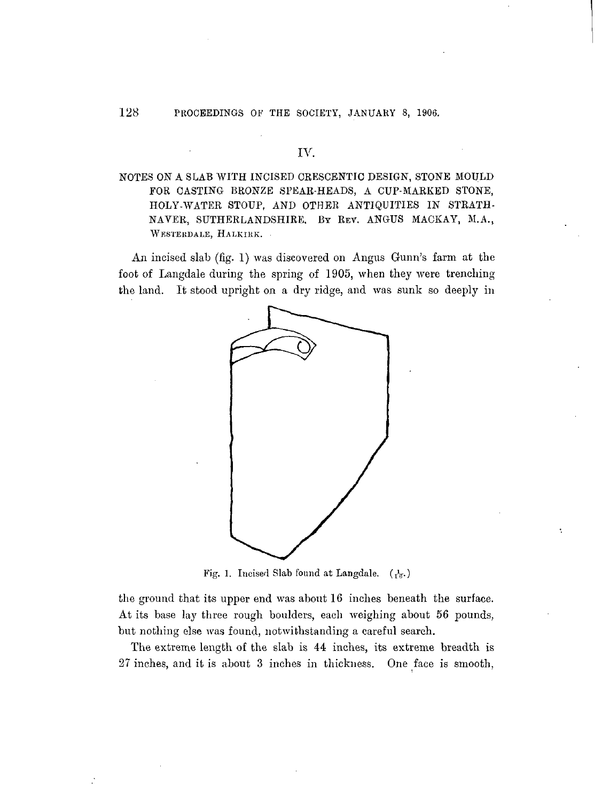### IV.

# NOTES ON A SLAB WITH INCISED CRESCENTIC DESIGN, STONE MOULD FOR CASTING BRONZE SPEAR-HEADS, A CUP-MARKED STONE, HOLY-WATER STOUP, AND OTHER ANTIQUITIES IN STRATH-NAVER, SUTHERLANDSHIKE. BY REV. ANGUS MACKAY, M.A., WESTERDALE, HALKIRK.

An incised slab (fig. 1) was discovered on Angus Gunn's farm at the foot of Langdale during the spring of 1905, when they were trenching the land. It stood upright on a dry ridge, and was sunk so deeply in



Fig. 1. Incised Slab found at Langdale. *(fa.*)

the ground that its upper end was about 16 inches beneath the surface. At its base lay three rough boulders, each weighing about 56 pounds, but nothing else was found, notwithstanding a careful search.

The extreme length of the slab is 44 inches, its extreme breadth is 27 inches, and it is about 3 inches in thickness. One face is smooth,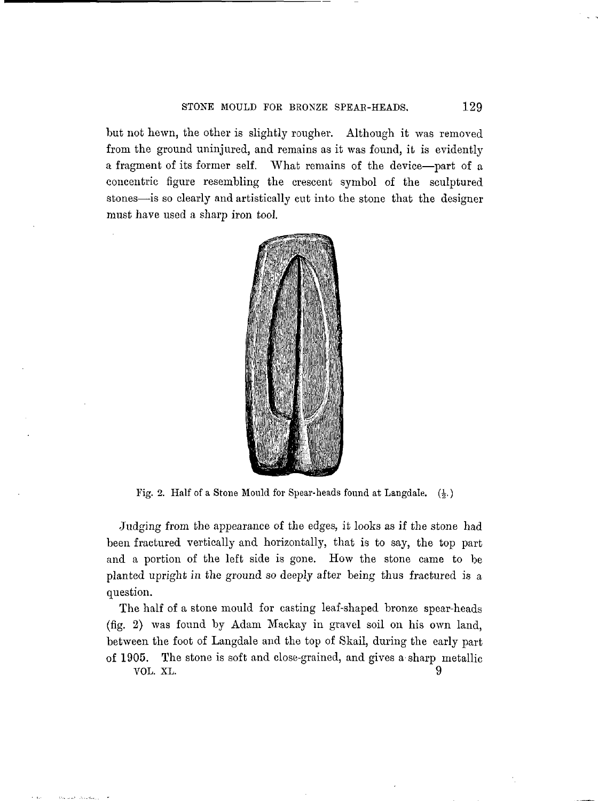but not hewn, the other is slightly rougher. Although it was removed from the ground uninjured, and remains as it was found, it is evidently a fragment of its former self. What remains of the device—part of a concentric figure resembling the crescent symbol of the sculptured stones—is so clearly and artistically cut into the stone that the designer must have used a sharp iron tool.



Fig. 2. Half of a Stone Mould for Spear-heads found at Langdale.  $(\frac{1}{2})$ 

Judging from the appearance of the edges, it looks as if the stone had been fractured vertically and horizontally, that is to say, the top part and a portion of the left side is gone. How the stone came to be planted upright in the ground so deeply after being thus fractured is a question.

The half of a stone mould for casting leaf-shaped bronze spear-heads (fig. 2) was found by Adam Mackay in gravel soil on his own land, between the foot of Langdale and the top of Skail, during the early part of 1905. The stone is soft and close-grained, and gives a sharp metallic VOL. XL. 9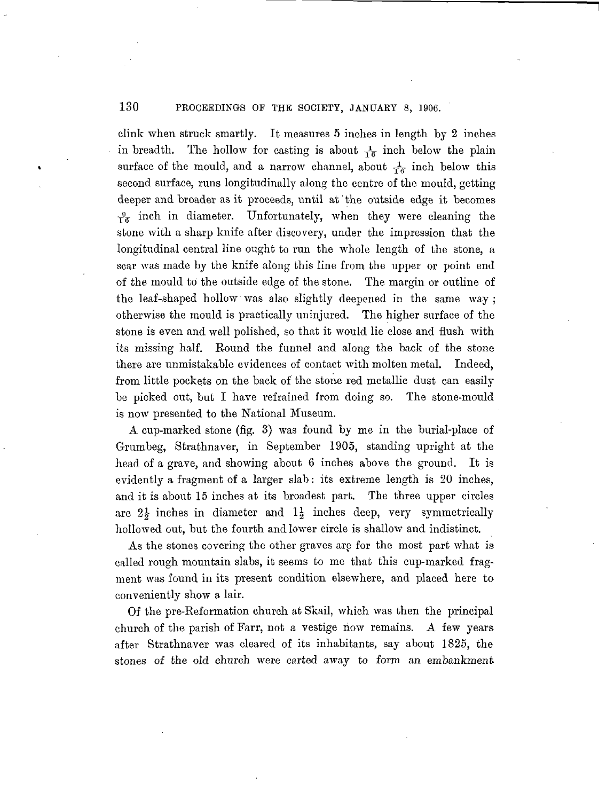130 PROCEEDINGS OF THE SOCIETY, JANUARY 8, 1906.

clink when struck smartly. It measures 5 inches in length by 2 inches in breadth. The hollow for casting is about  $\frac{1}{16}$  inch below the plain surface of the mould, and a narrow channel, about  $\frac{1}{16}$  inch below this second surface, runs longitudinally along the centre of the mould, getting deeper and broader as it proceeds, until at' the outside edge it becomes  $\frac{9}{16}$  inch in diameter. Unfortunately, when they were cleaning the stone with a sharp knife after discovery, under the impression that the longitudinal central line ought to run the whole length of the stone, a scar was made by the knife along this line from the upper or point end of the mould to the outside edge of the stone. The margin or outline of the leaf-shaped hollow was also slightly deepened in the same way; otherwise the mould is practically uninjured. The higher surface of the stone is even and well polished, so that it would lie close and flush with its missing half. Round the funnel and along the back of the stone there are unmistakable evidences of contact with molten metal. Indeed, from little pockets on the back of the stone red metallic dust can easily be picked out, but I have refrained from doing so. The stone-mould is now presented to the National Museum.

A cup-marked stone (fig. 3) was found by me in the burial-place of Grumbeg, Strathnaver, in September 1905, standing upright at the head of a grave, and showing about 6 inches above the ground. It is evidently a fragment of a larger slab: its extreme length is 20 inches, and it is about 15 inches at its broadest part. The three upper circles are  $2\frac{1}{2}$  inches in diameter and  $1\frac{1}{2}$  inches deep, very symmetrically hollowed out, but the fourth and lower circle is shallow and indistinct.

As the stones covering the other graves are for the most part what is called rough mountain slabs, it seems to me that this cup-marked fragment was found in its present condition elsewhere, and placed here to conveniently show a lair.

Of the pre-Reformation church at Skail, which was then the principal church of the parish of Farr, not a vestige now remains. A few years after Strathnaver was cleared of its inhabitants, say about 1825, the stones of the old church were carted away to form an embankment.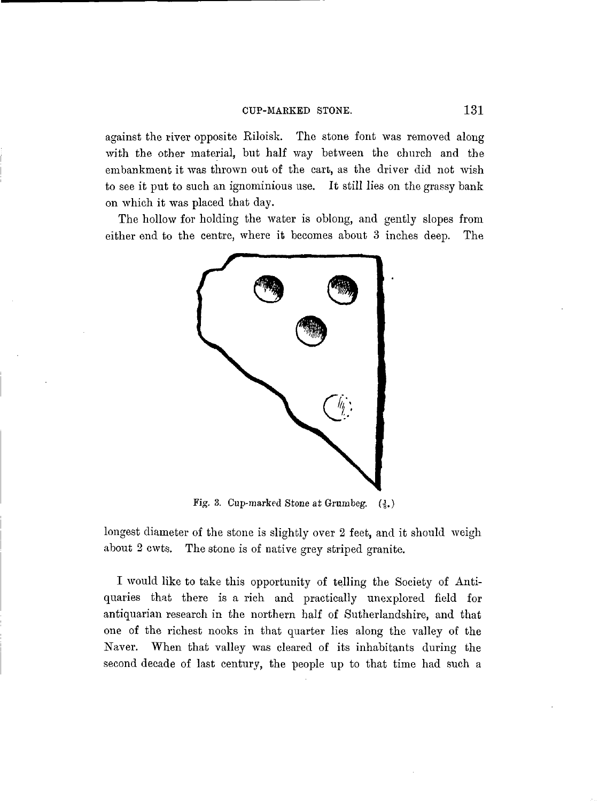against the river opposite Kiloisk. The stone font was removed along with the other material, but half way between the church and the embankment it was thrown out of the cart, as the driver did not wish to see it put to such an ignominious use. It still lies on the grassy bank on which it was placed that day.

The hollow for holding the water is oblong, and gently slopes from either end to the centre, where it becomes about 3 inches deep. The



Fig. 3. Cup-marked Stone at Grumbeg.  $(3.)$ 

longest diameter of the stone is slightly over 2 feet, and it should weigh about 2 cwts. The stone is of native grey striped granite.

I would like to take this opportunity of telling the Society of Antiquaries that there is a rich and practically unexplored field for antiquarian research in the northern half of Sutherlandshire, and that one of the richest nooks in that quarter lies along the valley of the Naver. When that valley was cleared of its inhabitants during the second decade of last century, the people up to that time had such a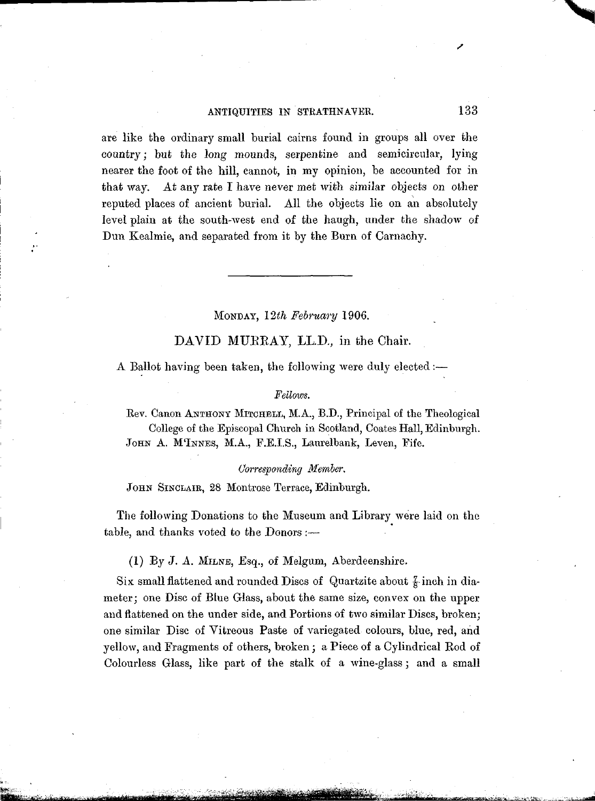## ANTIQUITIES IN STRATHNAVER. 133

are like the ordinary small burial cairns found in groups all over the country; but the long mounds, serpentine and semicircular, lying nearer the foot of the hill, cannot, in my opinion, be accounted for in that way. At any rate I have never met with similar objects on other reputed places of ancient burial. All the objects lie on an absolutely level plain at the south-west end of the haugh, under the shadow of Dun Kealmie, and separated from it by the Burn of Carnachy.

### MONDAY, *12th February* 1906.

# DAVID MURRAY, LL.D., in the Chair.

A Ballot having been taken, the following were duly elected:—

### *Fellows.*

Eev. Canon ANTHONY MITCHELL, M.A., B.D., Principal of the Theological College of the Episcopal Church in Scotland, Coates Hall, Edinburgh. JOHN A. M'INNES, M.A., F.E.I.S., Laurelbank, Leven, Fife.

### *Corresponding Member.*

JOHN SINCLAIE, 28 Montrose Terrace, Edinburgh.

The following Donations to the Museum and Library were laid on the table, and thanks voted to the Donors :—

(1) By J. A. MILNE, Esq., of Melgum, Aberdeenshire.

Six small flattened and rounded Discs of Quartzite about  $\frac{7}{8}$  inch in diameter; one Disc of Blue Glass, about the same size, convex on the upper and flattened on the under side, and Portions of two similar Discs, broken; one similar Disc of Vitreous Paste of variegated colours, blue, red, and yellow, and Fragments of others, broken; a Piece of a Cylindrical Rod of Colourless Glass, like part of the stalk of a wine-glass; and a small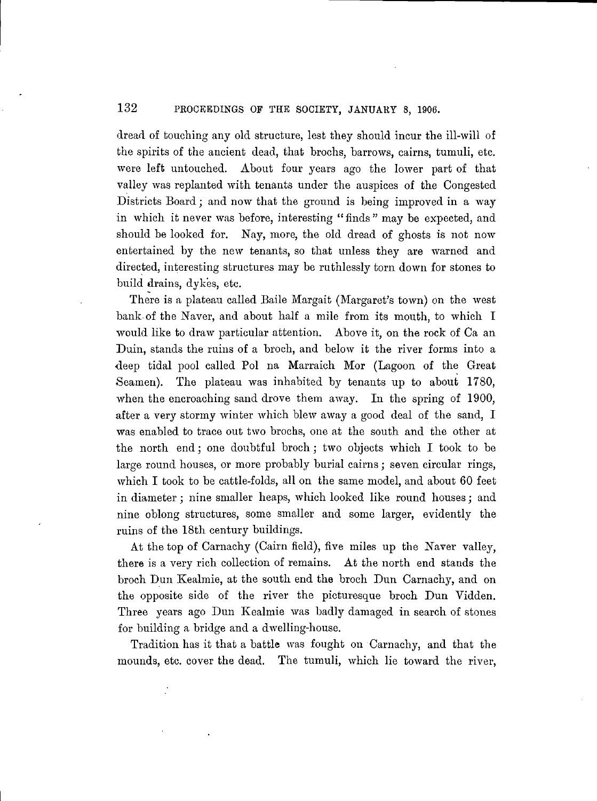# 132 PROCEEDINGS OF THE SOCIETY, JANUARY 8, 1906.

dread of touching any old structure, lest they should incur the ill-will of the spirits of the ancient dead, that hrochs, barrows, cairns, tumuli, etc. were left untouched. About four years ago the lower part of that valley was replanted with tenants under the auspices of the Congested Districts Board; and now that the ground is being improved in a way in which it never was before, interesting "finds" may be expected, and should be looked for. Nay, more, the old dread of ghosts is not now entertained by the new tenants, so that unless they are warned and directed, interesting structures may be ruthlessly torn down for stones to build drains, dykes, etc.

There is a plateau called Baile Margait (Margaret's town) on the west bank of the Naver, and about half a mile from its mouth, to which I would like to draw particular attention. Above it, on the rock of Ca an Duin, stands the ruins of a broch, and below it the river forms into a deep tidal pool called Pol na Marraich Mor (Lagoon of the Great Seamen). The plateau was inhabited by tenants up to about 1780, when the encroaching sand drove them away. In the spring of 1900, after a very stormy winter which blew away a good deal of the sand, I was enabled to trace out two brochs, one at the south and the other at the north end; one doubtful broch; two objects which I took to be large round houses, or more probably burial cairns ; seven circular rings, which I took to be cattle-folds, all on the same model, and about 60 feet in diameter; nine smaller heaps, which looked like round houses; and nine oblong structures, some smaller and some larger, evidently the ruins of the 18th century buildings.

At the top of Carnachy (Cairn field), five miles up the Naver valley, there is a very rich collection of remains. At the north end stands the broch Dun Kealmie, at the south end the broch Dun Carnachy, and on the opposite side of the river the picturesque broch Dun Vidden. Three years ago Dun Kealmie was badly damaged in search of stones for building a bridge and a dwelling-house.

Tradition has it that a battle was fought on Carnachy, and that the mounds, etc. cover the dead. The tumuli, which lie toward the river,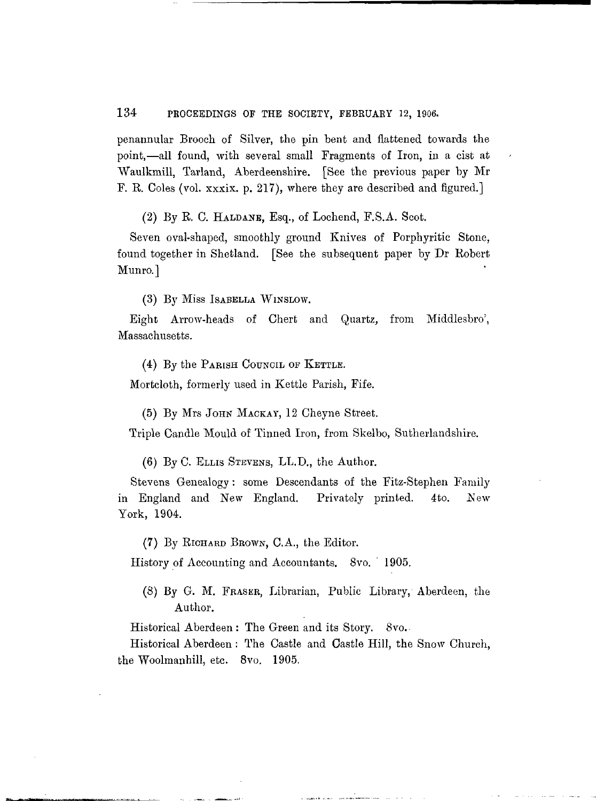## 134 PROCEEDINGS OF THE SOCIETY, FEBRUARY 12, 1906.

penannular Brooch of Silver, the pin bent and flattened towards the point,—all found, with several small Fragments of Iron, in a cist at Waulkmill, Tarland, Aberdeenshire. [See the previous paper by Mr F. R. Coles (vol. xxxix. p. 217), where they are described and figured.]

(2) By R. C. HALDANE, Esq., of Lochend, F.S.A. Scot.

Seven oval-shaped, smoothly ground Knives of Porphyritic Stone, found together in Shetland. [See the subsequent paper by Dr Robert Munro.]

(3) By Miss ISABELLA WINSLOW.

Eight Arrow-heads of Chert and Quartz, from Middlesbro', Massachusetts.

(4) By the PARISH COUNCIL OF KETTLE.

Mortcloth, formerly used in Kettle Parish, Fife.

(5) By Mrs JOHN MACKAY, 12 Cheyne Street.

Triple Candle Mould of Tinned Iron, from Skelbo, Sutherlandshire.

(6) By C. ELLIS STEVENS, LL.D., the Author.

Stevens Genealogy : some Descendants of the Fitz-Stephen Family in England and New England. Privately printed. 4to. New York, 1904.

(7) By RICHARD BBOWN, C.A., the Editor.

History of Accounting and Accountants. 8vo. ' 1905.

(8) By G. M. FRASEE, Librarian, Public Library, Aberdeen, the Author.

Historical Aberdeen: The Green and its Story. 8vo.-

Historical Aberdeen : The Castle and Castle Hill, the Snow Church, the Woolmanhill, etc. 8vo. 1905.